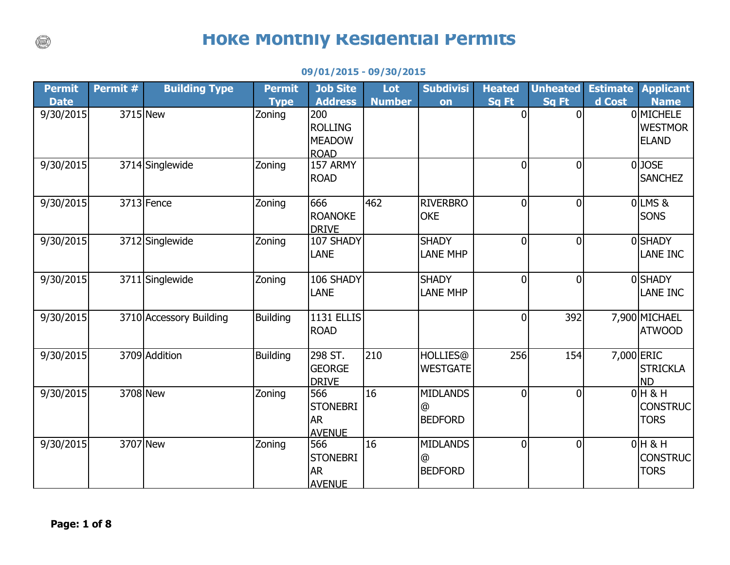## **Hoke Monthly Residential Permits**

| <b>Permit</b><br><b>Date</b> | Permit # | <b>Building Type</b>    | <b>Permit</b><br><b>Type</b> | <b>Job Site</b><br><b>Address</b>                     | Lot<br><b>Number</b> | <b>Subdivisi</b><br>on                 | <b>Heated</b><br>Sq Ft | <b>Unheated</b><br><b>Sq Ft</b> | <b>Estimate</b><br>d Cost | <b>Applicant</b><br><b>Name</b>             |
|------------------------------|----------|-------------------------|------------------------------|-------------------------------------------------------|----------------------|----------------------------------------|------------------------|---------------------------------|---------------------------|---------------------------------------------|
| 9/30/2015                    | 3715 New |                         | Zoning                       | 200<br><b>ROLLING</b><br><b>MEADOW</b><br><b>ROAD</b> |                      |                                        | $\Omega$               | $\Omega$                        |                           | 0 MICHELE<br><b>WESTMOR</b><br><b>ELAND</b> |
| 9/30/2015                    |          | 3714 Singlewide         | Zoning                       | 157 ARMY<br><b>ROAD</b>                               |                      |                                        | $\Omega$               | $\overline{0}$                  |                           | 0JOSE<br><b>SANCHEZ</b>                     |
| 9/30/2015                    |          | 3713 Fence              | Zoning                       | 666<br><b>ROANOKE</b><br><b>DRIVE</b>                 | 462                  | <b>RIVERBRO</b><br><b>OKE</b>          | 0                      | $\overline{0}$                  |                           | OLMS&<br><b>SONS</b>                        |
| 9/30/2015                    |          | 3712 Singlewide         | Zoning                       | 107 SHADY<br><b>LANE</b>                              |                      | <b>SHADY</b><br><b>LANE MHP</b>        | 0                      | $\overline{0}$                  |                           | <b>OSHADY</b><br><b>LANE INC</b>            |
| 9/30/2015                    |          | 3711 Singlewide         | Zoning                       | 106 SHADY<br><b>LANE</b>                              |                      | <b>SHADY</b><br><b>LANE MHP</b>        | 0                      | $\overline{0}$                  |                           | <b>OSHADY</b><br>LANE INC                   |
| 9/30/2015                    |          | 3710 Accessory Building | <b>Building</b>              | <b>1131 ELLIS</b><br><b>ROAD</b>                      |                      |                                        | 0                      | 392                             |                           | 7,900 MICHAEL<br><b>ATWOOD</b>              |
| 9/30/2015                    |          | 3709 Addition           | <b>Building</b>              | 298 ST.<br><b>GEORGE</b><br><b>DRIVE</b>              | 210                  | <b>HOLLIES</b> @<br><b>WESTGATE</b>    | 256                    | 154                             | 7,000 ERIC                | <b>STRICKLA</b><br><b>ND</b>                |
| 9/30/2015                    | 3708 New |                         | Zoning                       | 566<br><b>STONEBRI</b><br><b>AR</b><br><b>AVENUE</b>  | 16                   | <b>MIDLANDS</b><br>@<br><b>BEDFORD</b> | $\Omega$               | $\overline{0}$                  |                           | $0H$ & H<br><b>CONSTRUC</b><br><b>TORS</b>  |
| 9/30/2015                    | 3707 New |                         | Zoning                       | 566<br><b>STONEBRI</b><br><b>AR</b><br><b>AVENUE</b>  | 16                   | <b>MIDLANDS</b><br>@<br><b>BEDFORD</b> | $\Omega$               | $\overline{0}$                  |                           | $0H$ & H<br><b>CONSTRUC</b><br><b>TORS</b>  |

## **09/01/2015 - 09/30/2015**

 $\binom{1}{k}$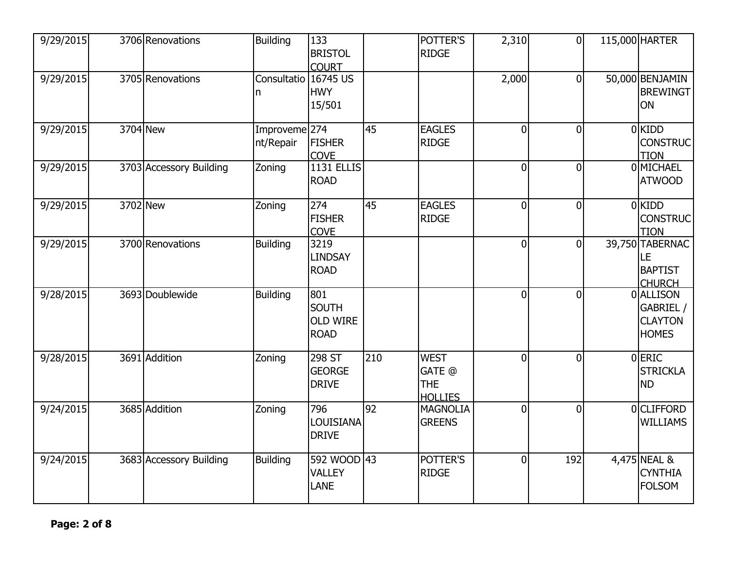| 9/29/2015              |          | 3706 Renovations        | <b>Building</b>                       | 133<br><b>BRISTOL</b><br><b>COURT</b>                 |     | POTTER'S<br><b>RIDGE</b>                              | 2,310          | $\overline{0}$ | 115,000 HARTER                                           |
|------------------------|----------|-------------------------|---------------------------------------|-------------------------------------------------------|-----|-------------------------------------------------------|----------------|----------------|----------------------------------------------------------|
| 9/29/2015              |          | 3705 Renovations        | Consultatio<br>n                      | 16745 US<br><b>HWY</b><br>15/501                      |     |                                                       | 2,000          | $\overline{0}$ | 50,000 BENJAMIN<br><b>BREWINGT</b><br>ON                 |
| 9/29/2015              | 3704 New |                         | Improveme <sup>274</sup><br>nt/Repair | <b>FISHER</b><br><b>COVE</b>                          | 45  | <b>EAGLES</b><br><b>RIDGE</b>                         | $\overline{0}$ | $\overline{0}$ | 0 KIDD<br><b>CONSTRUC</b><br><b>TION</b>                 |
| 9/29/2015              |          | 3703 Accessory Building | Zoning                                | <b>1131 ELLIS</b><br><b>ROAD</b>                      |     |                                                       | $\overline{0}$ | $\overline{0}$ | 0 MICHAEL<br><b>ATWOOD</b>                               |
| 9/29/2015              | 3702 New |                         | Zoning                                | 274<br><b>FISHER</b><br><b>COVE</b>                   | 45  | <b>EAGLES</b><br><b>RIDGE</b>                         | $\overline{0}$ | $\overline{0}$ | 0 KIDD<br><b>CONSTRUC</b><br><b>TION</b>                 |
| 9/29/2015              |          | 3700 Renovations        | <b>Building</b>                       | 3219<br><b>LINDSAY</b><br><b>ROAD</b>                 |     |                                                       | $\overline{0}$ | <sub>0</sub>   | 39,750 TABERNAC<br>LE<br><b>BAPTIST</b><br><b>CHURCH</b> |
| 9/28/2015              |          | 3693 Doublewide         | <b>Building</b>                       | 801<br><b>SOUTH</b><br><b>OLD WIRE</b><br><b>ROAD</b> |     |                                                       | $\overline{0}$ | $\overline{0}$ | 0 ALLISON<br>GABRIEL /<br><b>CLAYTON</b><br><b>HOMES</b> |
| 9/28/2015              |          | 3691 Addition           | Zoning                                | 298 ST<br><b>GEORGE</b><br><b>DRIVE</b>               | 210 | <b>WEST</b><br>GATE @<br><b>THE</b><br><b>HOLLIES</b> | $\overline{0}$ | $\overline{0}$ | 0 ERIC<br><b>STRICKLA</b><br><b>ND</b>                   |
| $\overline{9}/24/2015$ |          | 3685 Addition           | Zoning                                | 796<br>LOUISIANA<br><b>DRIVE</b>                      | 92  | <b>MAGNOLIA</b><br><b>GREENS</b>                      | $\overline{0}$ | $\overline{0}$ | 0 CLIFFORD<br><b>WILLIAMS</b>                            |
| 9/24/2015              |          | 3683 Accessory Building | <b>Building</b>                       | 592 WOOD 43<br><b>VALLEY</b><br><b>LANE</b>           |     | POTTER'S<br><b>RIDGE</b>                              | $\overline{0}$ | 192            | 4,475 NEAL &<br><b>CYNTHIA</b><br><b>FOLSOM</b>          |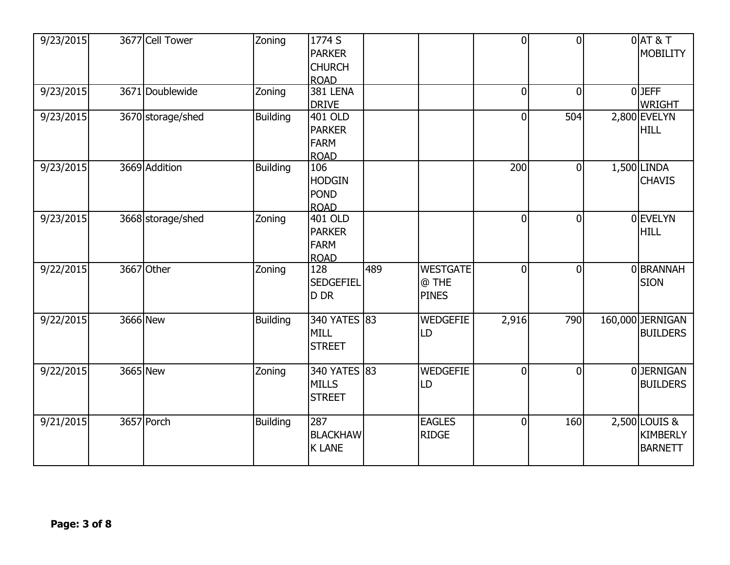| 9/23/2015 | 3677 Cell Tower   | Zoning          | 1774 S<br><b>PARKER</b><br><b>CHURCH</b><br><b>ROAD</b> |     |                                          | $\overline{0}$ | $\overline{0}$ | $0$ $AT$ & T<br><b>MOBILITY</b>                    |
|-----------|-------------------|-----------------|---------------------------------------------------------|-----|------------------------------------------|----------------|----------------|----------------------------------------------------|
| 9/23/2015 | 3671 Doublewide   | Zoning          | <b>381 LENA</b><br><b>DRIVE</b>                         |     |                                          | 0              | $\overline{0}$ | $0$ JEFF<br><b>WRIGHT</b>                          |
| 9/23/2015 | 3670 storage/shed | <b>Building</b> | 401 OLD<br><b>PARKER</b><br><b>FARM</b><br><b>ROAD</b>  |     |                                          | 0              | 504            | 2,800 EVELYN<br><b>HILL</b>                        |
| 9/23/2015 | 3669 Addition     | <b>Building</b> | 106<br><b>HODGIN</b><br><b>POND</b><br><b>ROAD</b>      |     |                                          | 200            | $\overline{0}$ | $1,500$ LINDA<br><b>CHAVIS</b>                     |
| 9/23/2015 | 3668 storage/shed | Zoning          | 401 OLD<br><b>PARKER</b><br><b>FARM</b><br><b>ROAD</b>  |     |                                          | $\overline{0}$ | $\overline{0}$ | 0 EVELYN<br><b>HILL</b>                            |
| 9/22/2015 | 3667 Other        | Zoning          | 128<br><b>SEDGEFIEL</b><br>D DR                         | 489 | <b>WESTGATE</b><br>@ THE<br><b>PINES</b> | $\Omega$       | $\overline{0}$ | 0 BRANNAH<br><b>SION</b>                           |
| 9/22/2015 | 3666 New          | <b>Building</b> | 340 YATES 83<br><b>MILL</b><br><b>STREET</b>            |     | <b>WEDGEFIE</b><br>LD                    | 2,916          | 790            | 160,000 JERNIGAN<br><b>BUILDERS</b>                |
| 9/22/2015 | 3665 New          | Zoning          | 340 YATES 83<br><b>MILLS</b><br><b>STREET</b>           |     | <b>WEDGEFIE</b><br>LD                    | $\mathbf 0$    | $\overline{0}$ | 0JERNIGAN<br><b>BUILDERS</b>                       |
| 9/21/2015 | 3657 Porch        | <b>Building</b> | 287<br><b>BLACKHAW</b><br><b>K LANE</b>                 |     | <b>EAGLES</b><br><b>RIDGE</b>            | $\overline{0}$ | 160            | 2,500 LOUIS &<br><b>KIMBERLY</b><br><b>BARNETT</b> |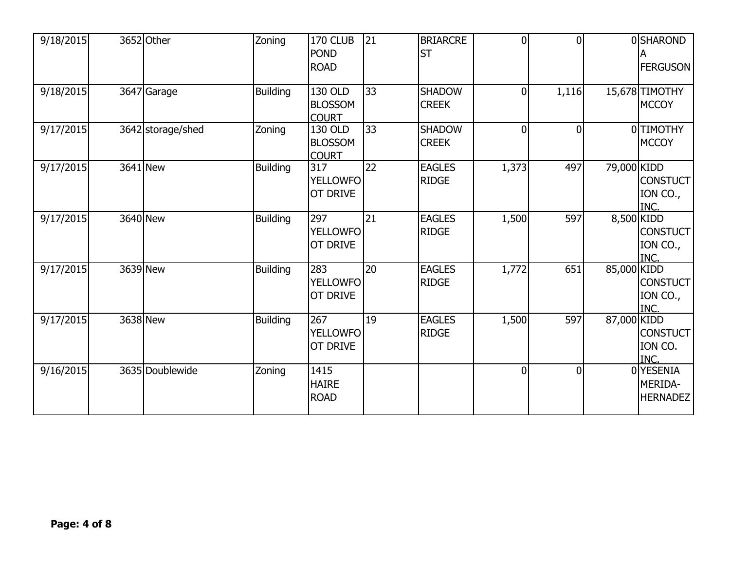| 9/18/2015 | 3652 Other        | Zoning          | 170 CLUB<br><b>POND</b><br><b>ROAD</b>    | 21 | <b>BRIARCRE</b><br><b>ST</b>  | $\overline{0}$ | $\overline{0}$ |             | 0SHAROND<br><b>FERGUSON</b>             |
|-----------|-------------------|-----------------|-------------------------------------------|----|-------------------------------|----------------|----------------|-------------|-----------------------------------------|
| 9/18/2015 | 3647 Garage       | <b>Building</b> | 130 OLD<br><b>BLOSSOM</b><br><b>COURT</b> | 33 | <b>SHADOW</b><br><b>CREEK</b> | $\overline{0}$ | 1,116          |             | 15,678 TIMOTHY<br><b>MCCOY</b>          |
| 9/17/2015 | 3642 storage/shed | Zoning          | 130 OLD<br><b>BLOSSOM</b><br><b>COURT</b> | 33 | <b>SHADOW</b><br><b>CREEK</b> | $\overline{0}$ | $\overline{0}$ |             | 0 TIMOTHY<br><b>MCCOY</b>               |
| 9/17/2015 | 3641 New          | <b>Building</b> | 317<br><b>YELLOWFO</b><br><b>OT DRIVE</b> | 22 | <b>EAGLES</b><br><b>RIDGE</b> | 1,373          | 497            | 79,000 KIDD | <b>CONSTUCT</b><br>ION CO.,<br>INC.     |
| 9/17/2015 | 3640 New          | <b>Building</b> | 297<br><b>YELLOWFO</b><br><b>OT DRIVE</b> | 21 | <b>EAGLES</b><br><b>RIDGE</b> | 1,500          | 597            | 8,500 KIDD  | <b>CONSTUCT</b><br>ION CO.,<br>INC.     |
| 9/17/2015 | 3639 New          | <b>Building</b> | 283<br><b>YELLOWFO</b><br><b>OT DRIVE</b> | 20 | <b>EAGLES</b><br><b>RIDGE</b> | 1,772          | 651            | 85,000 KIDD | <b>CONSTUCT</b><br>ION CO.,<br>INC.     |
| 9/17/2015 | 3638 New          | <b>Building</b> | 267<br><b>YELLOWFO</b><br><b>OT DRIVE</b> | 19 | <b>EAGLES</b><br><b>RIDGE</b> | 1,500          | 597            | 87,000 KIDD | <b>CONSTUCT</b><br>ION CO.<br>INC.      |
| 9/16/2015 | 3635 Doublewide   | Zoning          | 1415<br><b>HAIRE</b><br><b>ROAD</b>       |    |                               | $\overline{0}$ | $\overline{0}$ |             | 0 YESENIA<br>MERIDA-<br><b>HERNADEZ</b> |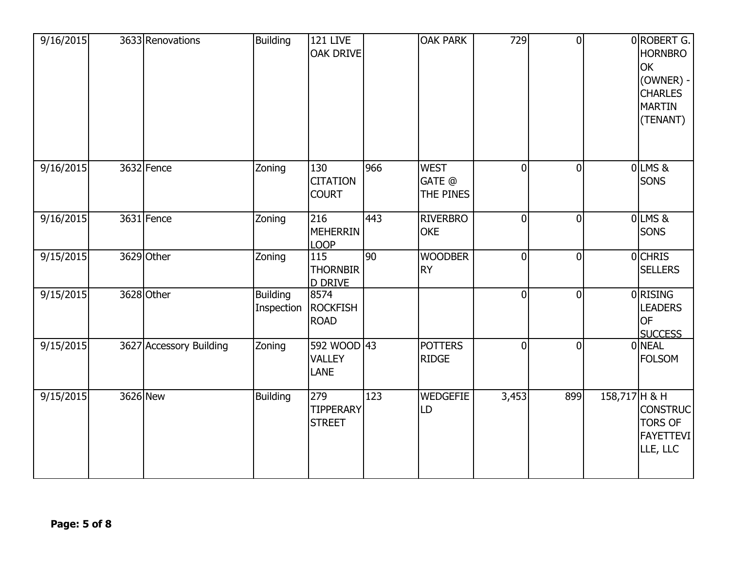| 9/16/2015 | 3633 Renovations        | <b>Building</b>               | <b>121 LIVE</b><br><b>OAK DRIVE</b>      |     | <b>OAK PARK</b>                    | 729            | $\overline{0}$ |               | 0 ROBERT G.<br><b>HORNBRO</b><br><b>OK</b><br>(OWNER) -<br><b>CHARLES</b><br><b>MARTIN</b><br>(TENANT) |
|-----------|-------------------------|-------------------------------|------------------------------------------|-----|------------------------------------|----------------|----------------|---------------|--------------------------------------------------------------------------------------------------------|
| 9/16/2015 | 3632 Fence              | Zoning                        | 130<br><b>CITATION</b><br><b>COURT</b>   | 966 | <b>WEST</b><br>GATE @<br>THE PINES | $\overline{0}$ | $\overline{0}$ |               | $0$ LMS $8$<br><b>SONS</b>                                                                             |
| 9/16/2015 | 3631 Fence              | Zoning                        | 216<br><b>MEHERRIN</b><br><b>LOOP</b>    | 443 | <b>RIVERBRO</b><br><b>OKE</b>      | $\overline{0}$ | $\mathbf 0$    |               | $0$ LMS&<br><b>SONS</b>                                                                                |
| 9/15/2015 | 3629 Other              | Zoning                        | 115<br><b>THORNBIR</b><br><b>D DRIVE</b> | 90  | <b>WOODBER</b><br><b>RY</b>        | $\overline{0}$ | $\overline{0}$ |               | 0 CHRIS<br><b>SELLERS</b>                                                                              |
| 9/15/2015 | 3628 Other              | <b>Building</b><br>Inspection | 8574<br><b>ROCKFISH</b><br><b>ROAD</b>   |     |                                    | $\overline{0}$ | $\overline{0}$ |               | 0 RISING<br><b>LEADERS</b><br><b>OF</b><br><b>SUCCESS</b>                                              |
| 9/15/2015 | 3627 Accessory Building | Zoning                        | 592 WOOD 43<br><b>VALLEY</b><br>LANE     |     | <b>POTTERS</b><br><b>RIDGE</b>     | $\overline{0}$ | $\overline{0}$ |               | 0 NEAL<br><b>FOLSOM</b>                                                                                |
| 9/15/2015 | 3626 New                | <b>Building</b>               | 279<br><b>TIPPERARY</b><br><b>STREET</b> | 123 | <b>WEDGEFIE</b><br>LD              | 3,453          | 899            | 158,717 H & H | <b>CONSTRUC</b><br><b>TORS OF</b><br><b>FAYETTEVI</b><br>LLE, LLC                                      |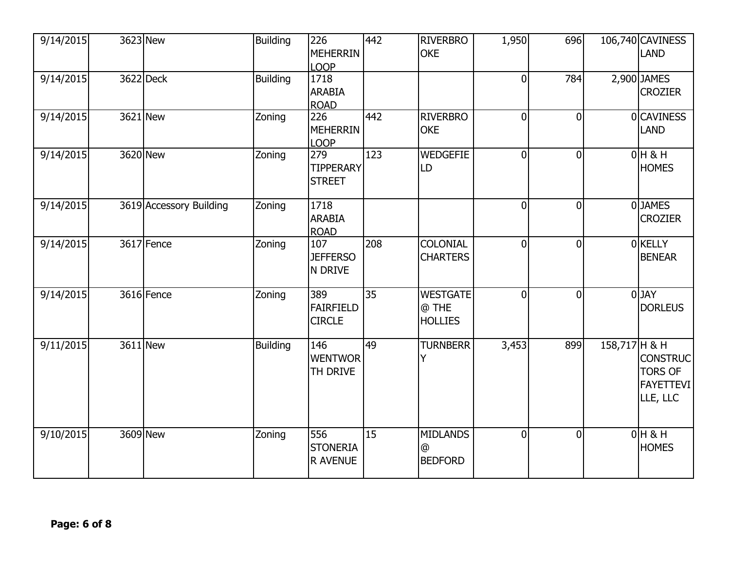| 9/14/2015 | 3623 New                | <b>Building</b> | 226<br><b>MEHERRIN</b><br><b>LOOP</b>     | 442             | <b>RIVERBRO</b><br><b>OKE</b>              | 1,950          | 696            |               | 106,740 CAVINESS<br><b>LAND</b>                                   |
|-----------|-------------------------|-----------------|-------------------------------------------|-----------------|--------------------------------------------|----------------|----------------|---------------|-------------------------------------------------------------------|
| 9/14/2015 | 3622 Deck               | <b>Building</b> | 1718<br><b>ARABIA</b><br><b>ROAD</b>      |                 |                                            | $\overline{0}$ | 784            |               | 2,900 JAMES<br><b>CROZIER</b>                                     |
| 9/14/2015 | 3621 New                | Zoning          | 226<br><b>MEHERRIN</b><br><b>LOOP</b>     | 442             | <b>RIVERBRO</b><br><b>OKE</b>              | $\overline{0}$ | $\mathbf 0$    |               | 0 CAVINESS<br><b>LAND</b>                                         |
| 9/14/2015 | 3620 New                | Zoning          | 279<br><b>TIPPERARY</b><br><b>STREET</b>  | 123             | <b>WEDGEFIE</b><br>LD                      | $\overline{0}$ | $\overline{0}$ |               | $0H$ & H<br><b>HOMES</b>                                          |
| 9/14/2015 | 3619 Accessory Building | Zoning          | 1718<br><b>ARABIA</b><br><b>ROAD</b>      |                 |                                            | $\overline{0}$ | $\overline{0}$ |               | 0JAMES<br><b>CROZIER</b>                                          |
| 9/14/2015 | 3617 Fence              | Zoning          | 107<br><b>JEFFERSO</b><br>N DRIVE         | 208             | <b>COLONIAL</b><br><b>CHARTERS</b>         | 0              | $\overline{0}$ |               | <b>O</b> KELLY<br><b>BENEAR</b>                                   |
| 9/14/2015 | 3616 Fence              | Zoning          | 389<br><b>FAIRFIELD</b><br><b>CIRCLE</b>  | $\overline{35}$ | <b>WESTGATE</b><br>@ THE<br><b>HOLLIES</b> | $\overline{0}$ | $\overline{0}$ |               | $0$ JAY<br><b>DORLEUS</b>                                         |
| 9/11/2015 | 3611 New                | <b>Building</b> | 146<br><b>WENTWOR</b><br>TH DRIVE         | 49              | <b>TURNBERR</b><br>Y                       | 3,453          | 899            | 158,717 H & H | <b>CONSTRUC</b><br><b>TORS OF</b><br><b>FAYETTEVI</b><br>LLE, LLC |
| 9/10/2015 | 3609 New                | Zoning          | 556<br><b>STONERIA</b><br><b>R AVENUE</b> | 15              | <b>MIDLANDS</b><br>@<br><b>BEDFORD</b>     | 0              | $\overline{0}$ |               | $0H$ & H<br><b>HOMES</b>                                          |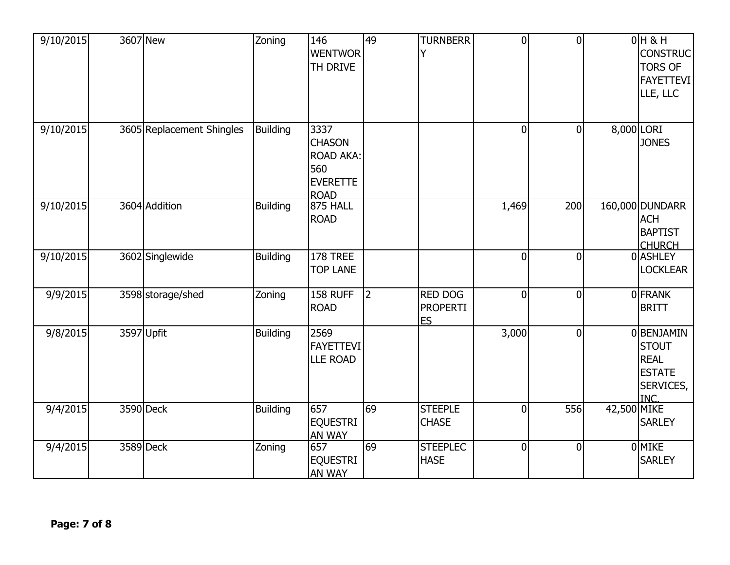| 9/10/2015 | 3607 New |                           | Zoning          | 146<br><b>WENTWOR</b><br>TH DRIVE                                                  | 49 | <b>TURNBERR</b><br>Υ                           | $\overline{0}$ | $\overline{0}$ |             | $0H$ & H<br><b>CONSTRUC</b><br><b>TORS OF</b><br><b>FAYETTEVI</b><br>LLE, LLC         |
|-----------|----------|---------------------------|-----------------|------------------------------------------------------------------------------------|----|------------------------------------------------|----------------|----------------|-------------|---------------------------------------------------------------------------------------|
| 9/10/2015 |          | 3605 Replacement Shingles | <b>Building</b> | 3337<br><b>CHASON</b><br><b>ROAD AKA:</b><br>560<br><b>EVERETTE</b><br><b>ROAD</b> |    |                                                | $\overline{0}$ | $\mathbf 0$    | 8,000 LORI  | <b>JONES</b>                                                                          |
| 9/10/2015 |          | 3604 Addition             | <b>Building</b> | <b>875 HALL</b><br><b>ROAD</b>                                                     |    |                                                | 1,469          | 200            |             | 160,000 DUNDARR<br><b>ACH</b><br><b>BAPTIST</b><br><b>CHURCH</b>                      |
| 9/10/2015 |          | 3602 Singlewide           | <b>Building</b> | 178 TREE<br><b>TOP LANE</b>                                                        |    |                                                | $\overline{0}$ | $\overline{0}$ |             | 0 ASHLEY<br><b>LOCKLEAR</b>                                                           |
| 9/9/2015  |          | 3598 storage/shed         | Zoning          | 158 RUFF<br><b>ROAD</b>                                                            | 2  | <b>RED DOG</b><br><b>PROPERTI</b><br><b>ES</b> | $\overline{0}$ | $\mathbf 0$    |             | <b>OFRANK</b><br><b>BRITT</b>                                                         |
| 9/8/2015  |          | 3597 Upfit                | <b>Building</b> | 2569<br><b>FAYETTEVI</b><br><b>LLE ROAD</b>                                        |    |                                                | 3,000          | $\mathbf 0$    |             | 0 BENJAMIN<br><b>STOUT</b><br><b>REAL</b><br><b>ESTATE</b><br>SERVICES,<br><b>INC</b> |
| 9/4/2015  |          | 3590 Deck                 | <b>Building</b> | 657<br><b>EQUESTRI</b><br><b>AN WAY</b>                                            | 69 | <b>STEEPLE</b><br><b>CHASE</b>                 | $\overline{0}$ | 556            | 42,500 MIKE | <b>SARLEY</b>                                                                         |
| 9/4/2015  |          | 3589 Deck                 | Zoning          | 657<br><b>EQUESTRI</b><br>AN WAY                                                   | 69 | <b>STEEPLEC</b><br><b>HASE</b>                 | $\overline{0}$ | $\mathbf 0$    |             | 0 MIKE<br><b>SARLEY</b>                                                               |